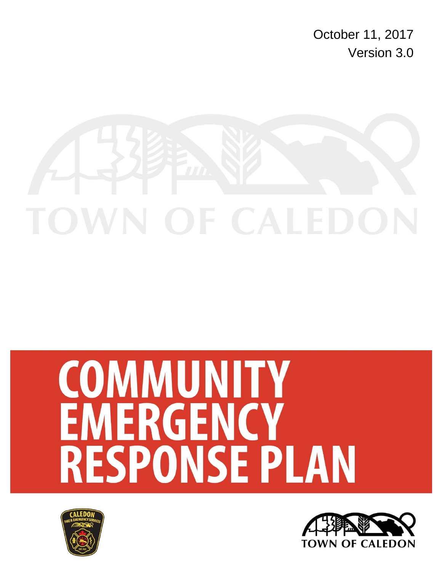October 11, 2017 Version 3.0

# **COMMUNITY EMERGENCY RESPONSE PLAN**



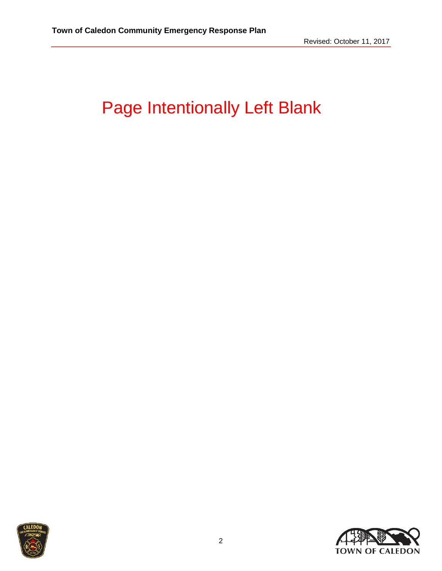## Page Intentionally Left Blank



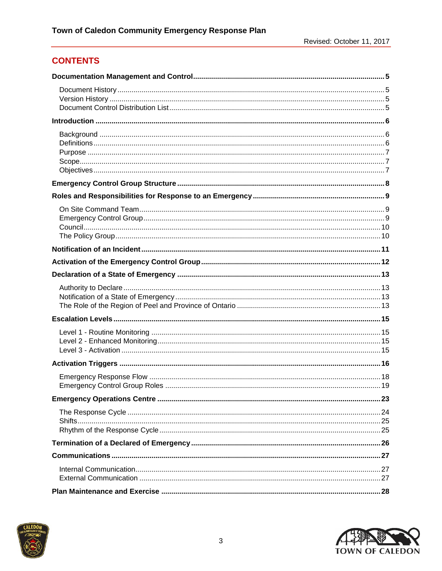#### **CONTENTS**



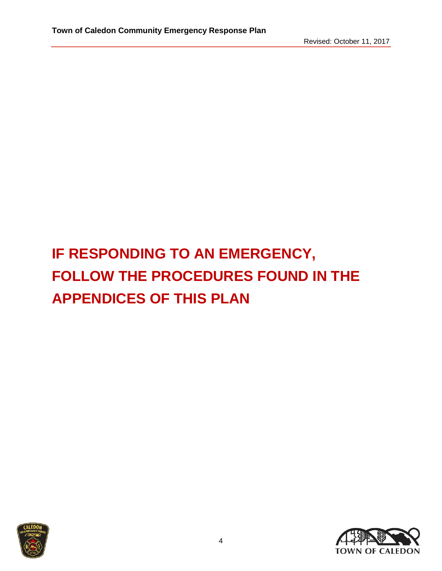## **IF RESPONDING TO AN EMERGENCY, FOLLOW THE PROCEDURES FOUND IN THE APPENDICES OF THIS PLAN**



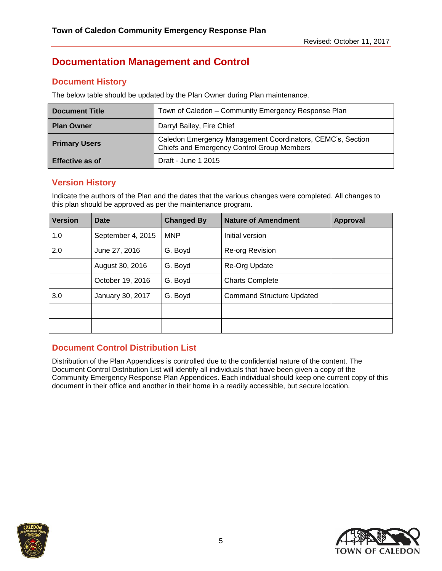#### <span id="page-4-0"></span>**Documentation Management and Control**

#### <span id="page-4-1"></span>**Document History**

The below table should be updated by the Plan Owner during Plan maintenance.

| <b>Document Title</b>  | Town of Caledon - Community Emergency Response Plan                                                      |  |
|------------------------|----------------------------------------------------------------------------------------------------------|--|
| <b>Plan Owner</b>      | Darryl Bailey, Fire Chief                                                                                |  |
| <b>Primary Users</b>   | Caledon Emergency Management Coordinators, CEMC's, Section<br>Chiefs and Emergency Control Group Members |  |
| <b>Effective as of</b> | Draft - June 1 2015                                                                                      |  |

#### <span id="page-4-2"></span>**Version History**

Indicate the authors of the Plan and the dates that the various changes were completed. All changes to this plan should be approved as per the maintenance program.

| <b>Version</b> | Date              | <b>Changed By</b> | <b>Nature of Amendment</b>       | <b>Approval</b> |
|----------------|-------------------|-------------------|----------------------------------|-----------------|
| 1.0            | September 4, 2015 | <b>MNP</b>        | Initial version                  |                 |
| 2.0            | June 27, 2016     | G. Boyd           | Re-org Revision                  |                 |
|                | August 30, 2016   | G. Boyd           | Re-Org Update                    |                 |
|                | October 19, 2016  | G. Boyd           | <b>Charts Complete</b>           |                 |
| 3.0            | January 30, 2017  | G. Boyd           | <b>Command Structure Updated</b> |                 |
|                |                   |                   |                                  |                 |
|                |                   |                   |                                  |                 |

#### <span id="page-4-3"></span>**Document Control Distribution List**

Distribution of the Plan Appendices is controlled due to the confidential nature of the content. The Document Control Distribution List will identify all individuals that have been given a copy of the Community Emergency Response Plan Appendices. Each individual should keep one current copy of this document in their office and another in their home in a readily accessible, but secure location.



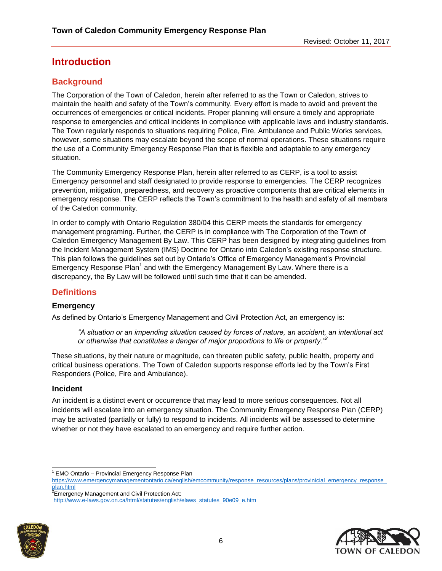#### <span id="page-5-0"></span>**Introduction**

#### <span id="page-5-1"></span>**Background**

The Corporation of the Town of Caledon, herein after referred to as the Town or Caledon, strives to maintain the health and safety of the Town's community. Every effort is made to avoid and prevent the occurrences of emergencies or critical incidents. Proper planning will ensure a timely and appropriate response to emergencies and critical incidents in compliance with applicable laws and industry standards. The Town regularly responds to situations requiring Police, Fire, Ambulance and Public Works services, however, some situations may escalate beyond the scope of normal operations. These situations require the use of a Community Emergency Response Plan that is flexible and adaptable to any emergency situation.

The Community Emergency Response Plan, herein after referred to as CERP, is a tool to assist Emergency personnel and staff designated to provide response to emergencies. The CERP recognizes prevention, mitigation, preparedness, and recovery as proactive components that are critical elements in emergency response. The CERP reflects the Town's commitment to the health and safety of all members of the Caledon community.

In order to comply with Ontario Regulation 380/04 this CERP meets the standards for emergency management programing. Further, the CERP is in compliance with The Corporation of the Town of Caledon Emergency Management By Law. This CERP has been designed by integrating guidelines from the Incident Management System (IMS) Doctrine for Ontario into Caledon's existing response structure. This plan follows the guidelines set out by Ontario's Office of Emergency Management's Provincial Emergency Response Plan<sup>1</sup> and with the Emergency Management By Law. Where there is a discrepancy, the By Law will be followed until such time that it can be amended.

#### <span id="page-5-2"></span>**Definitions**

#### **Emergency**

As defined by Ontario's Emergency Management and Civil Protection Act, an emergency is:

*"A situation or an impending situation caused by forces of nature, an accident, an intentional act or otherwise that constitutes a danger of major proportions to life or property."<sup>2</sup>*

These situations, by their nature or magnitude, can threaten public safety, public health, property and critical business operations. The Town of Caledon supports response efforts led by the Town's First Responders (Police, Fire and Ambulance).

#### **Incident**

An incident is a distinct event or occurrence that may lead to more serious consequences. Not all incidents will escalate into an emergency situation. The Community Emergency Response Plan (CERP) may be activated (partially or fully) to respond to incidents. All incidents will be assessed to determine whether or not they have escalated to an emergency and require further action.

[http://www.e-laws.gov.on.ca/html/statutes/english/elaws\\_statutes\\_90e09\\_e.htm](http://www.e-laws.gov.on.ca/html/statutes/english/elaws_statutes_90e09_e.htm)





l <sup>1</sup> EMO Ontario – Provincial Emergency Response Plan

[https://www.emergencymanagementontario.ca/english/emcommunity/response\\_resources/plans/provinicial\\_emergency\\_response\\_](https://www.emergencymanagementontario.ca/english/emcommunity/response_resources/plans/provinicial_emergency_response_plan.html) [plan.html](https://www.emergencymanagementontario.ca/english/emcommunity/response_resources/plans/provinicial_emergency_response_plan.html)

**Emergency Management and Civil Protection Act:**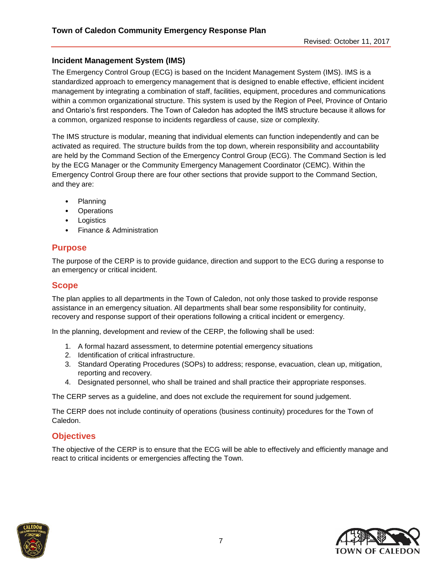#### **Incident Management System (IMS)**

The Emergency Control Group (ECG) is based on the Incident Management System (IMS). IMS is a standardized approach to emergency management that is designed to enable effective, efficient incident management by integrating a combination of staff, facilities, equipment, procedures and communications within a common organizational structure. This system is used by the Region of Peel, Province of Ontario and Ontario's first responders. The Town of Caledon has adopted the IMS structure because it allows for a common, organized response to incidents regardless of cause, size or complexity.

The IMS structure is modular, meaning that individual elements can function independently and can be activated as required. The structure builds from the top down, wherein responsibility and accountability are held by the Command Section of the Emergency Control Group (ECG). The Command Section is led by the ECG Manager or the Community Emergency Management Coordinator (CEMC). Within the Emergency Control Group there are four other sections that provide support to the Command Section, and they are:

- Planning
- Operations
- Logistics
- Finance & Administration

#### <span id="page-6-0"></span>**Purpose**

The purpose of the CERP is to provide guidance, direction and support to the ECG during a response to an emergency or critical incident.

#### <span id="page-6-1"></span>**Scope**

The plan applies to all departments in the Town of Caledon, not only those tasked to provide response assistance in an emergency situation. All departments shall bear some responsibility for continuity, recovery and response support of their operations following a critical incident or emergency.

In the planning, development and review of the CERP, the following shall be used:

- 1. A formal hazard assessment, to determine potential emergency situations
- 2. Identification of critical infrastructure.
- 3. Standard Operating Procedures (SOPs) to address; response, evacuation, clean up, mitigation, reporting and recovery.
- 4. Designated personnel, who shall be trained and shall practice their appropriate responses.

The CERP serves as a guideline, and does not exclude the requirement for sound judgement.

The CERP does not include continuity of operations (business continuity) procedures for the Town of Caledon.

#### <span id="page-6-2"></span>**Objectives**

The objective of the CERP is to ensure that the ECG will be able to effectively and efficiently manage and react to critical incidents or emergencies affecting the Town.



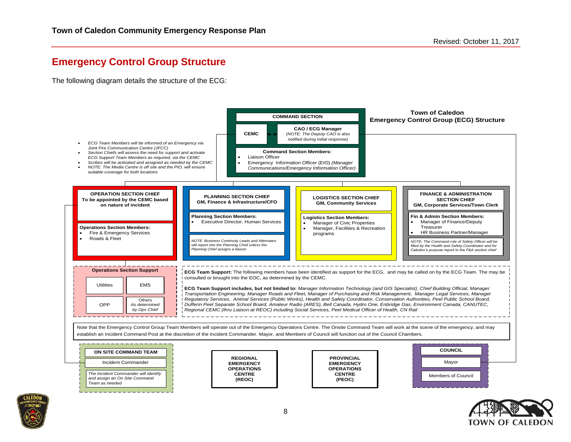#### **Emergency Control Group Structure**

The following diagram details the structure of the ECG:

<span id="page-7-0"></span>

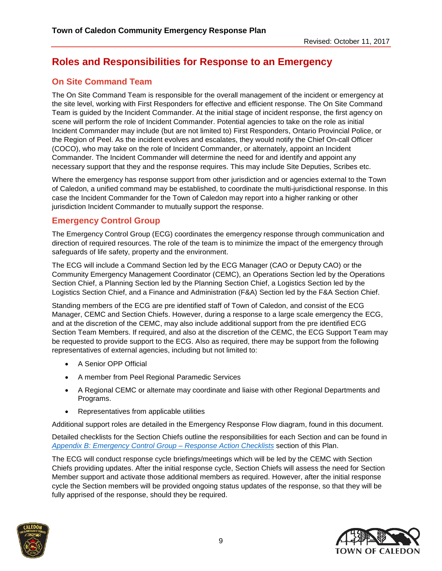#### <span id="page-8-0"></span>**Roles and Responsibilities for Response to an Emergency**

#### <span id="page-8-1"></span>**On Site Command Team**

The On Site Command Team is responsible for the overall management of the incident or emergency at the site level, working with First Responders for effective and efficient response. The On Site Command Team is guided by the Incident Commander. At the initial stage of incident response, the first agency on scene will perform the role of Incident Commander. Potential agencies to take on the role as initial Incident Commander may include (but are not limited to) First Responders, Ontario Provincial Police, or the Region of Peel. As the incident evolves and escalates, they would notify the Chief On-call Officer (COCO), who may take on the role of Incident Commander, or alternately, appoint an Incident Commander. The Incident Commander will determine the need for and identify and appoint any necessary support that they and the response requires. This may include Site Deputies, Scribes etc.

Where the emergency has response support from other jurisdiction and or agencies external to the Town of Caledon, a unified command may be established, to coordinate the multi-jurisdictional response. In this case the Incident Commander for the Town of Caledon may report into a higher ranking or other jurisdiction Incident Commander to mutually support the response.

#### <span id="page-8-2"></span>**Emergency Control Group**

The Emergency Control Group (ECG) coordinates the emergency response through communication and direction of required resources. The role of the team is to minimize the impact of the emergency through safeguards of life safety, property and the environment.

The ECG will include a Command Section led by the ECG Manager (CAO or Deputy CAO) or the Community Emergency Management Coordinator (CEMC), an Operations Section led by the Operations Section Chief, a Planning Section led by the Planning Section Chief, a Logistics Section led by the Logistics Section Chief, and a Finance and Administration (F&A) Section led by the F&A Section Chief.

Standing members of the ECG are pre identified staff of Town of Caledon, and consist of the ECG Manager, CEMC and Section Chiefs. However, during a response to a large scale emergency the ECG, and at the discretion of the CEMC, may also include additional support from the pre identified ECG Section Team Members. If required, and also at the discretion of the CEMC, the ECG Support Team may be requested to provide support to the ECG. Also as required, there may be support from the following representatives of external agencies, including but not limited to:

- · A Senior OPP Official
- · A member from Peel Regional Paramedic Services
- · A Regional CEMC or alternate may coordinate and liaise with other Regional Departments and Programs.
- Representatives from applicable utilities

Additional support roles are detailed in the Emergency Response Flow diagram, found in this document.

Detailed checklists for the Section Chiefs outline the responsibilities for each Section and can be found in *Appendix B: Emergency Control Group – Response Action Checklists* section of this Plan.

The ECG will conduct response cycle briefings/meetings which will be led by the CEMC with Section Chiefs providing updates. After the initial response cycle, Section Chiefs will assess the need for Section Member support and activate those additional members as required. However, after the initial response cycle the Section members will be provided ongoing status updates of the response, so that they will be fully apprised of the response, should they be required.



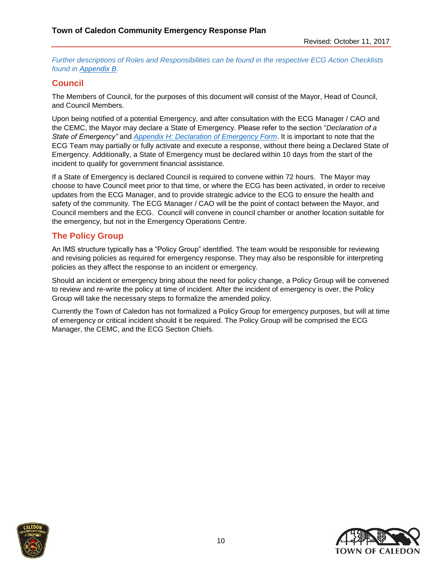*Further descriptions of Roles and Responsibilities can be found in the respective ECG Action Checklists found in Appendix B*.

#### <span id="page-9-0"></span>**Council**

The Members of Council, for the purposes of this document will consist of the Mayor, Head of Council, and Council Members.

Upon being notified of a potential Emergency, and after consultation with the ECG Manager / CAO and the CEMC, the Mayor may declare a State of Emergency. Please refer to the section "*Declaration of a State of Emergency"* and *Appendix H: Declaration of Emergency Form*. It is important to note that the ECG Team may partially or fully activate and execute a response, without there being a Declared State of Emergency. Additionally, a State of Emergency must be declared within 10 days from the start of the incident to qualify for government financial assistance.

If a State of Emergency is declared Council is required to convene within 72 hours. The Mayor may choose to have Council meet prior to that time, or where the ECG has been activated, in order to receive updates from the ECG Manager, and to provide strategic advice to the ECG to ensure the health and safety of the community. The ECG Manager / CAO will be the point of contact between the Mayor, and Council members and the ECG. Council will convene in council chamber or another location suitable for the emergency, but not in the Emergency Operations Centre.

#### <span id="page-9-1"></span>**The Policy Group**

An IMS structure typically has a "Policy Group" identified. The team would be responsible for reviewing and revising policies as required for emergency response. They may also be responsible for interpreting policies as they affect the response to an incident or emergency.

Should an incident or emergency bring about the need for policy change, a Policy Group will be convened to review and re-write the policy at time of incident. After the incident of emergency is over, the Policy Group will take the necessary steps to formalize the amended policy.

Currently the Town of Caledon has not formalized a Policy Group for emergency purposes, but will at time of emergency or critical incident should it be required. The Policy Group will be comprised the ECG Manager, the CEMC, and the ECG Section Chiefs.



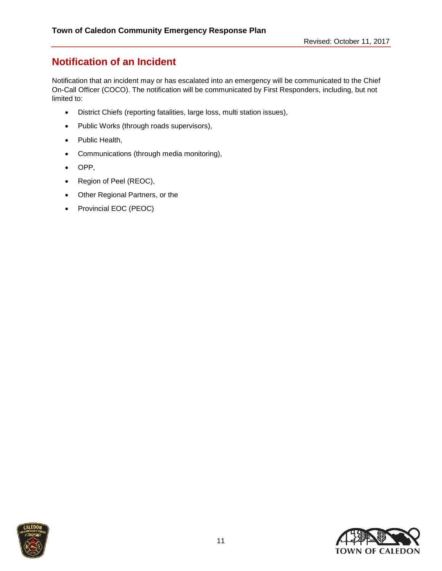#### <span id="page-10-0"></span>**Notification of an Incident**

Notification that an incident may or has escalated into an emergency will be communicated to the Chief On-Call Officer (COCO). The notification will be communicated by First Responders, including, but not limited to:

- · District Chiefs (reporting fatalities, large loss, multi station issues),
- · Public Works (through roads supervisors),
- Public Health,
- · Communications (through media monitoring),
- · OPP,
- · Region of Peel (REOC),
- · Other Regional Partners, or the
- · Provincial EOC (PEOC)



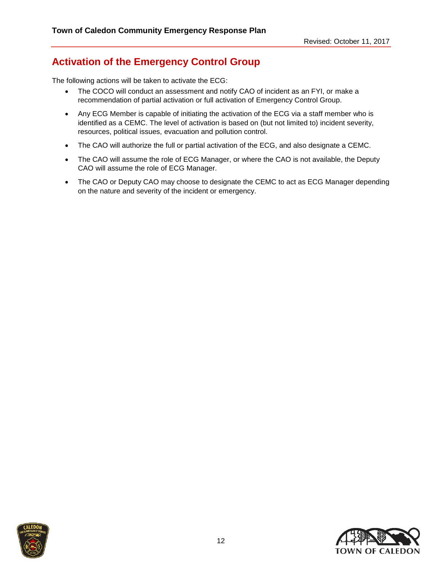#### <span id="page-11-0"></span>**Activation of the Emergency Control Group**

The following actions will be taken to activate the ECG:

- · The COCO will conduct an assessment and notify CAO of incident as an FYI, or make a recommendation of partial activation or full activation of Emergency Control Group.
- · Any ECG Member is capable of initiating the activation of the ECG via a staff member who is identified as a CEMC. The level of activation is based on (but not limited to) incident severity, resources, political issues, evacuation and pollution control.
- · The CAO will authorize the full or partial activation of the ECG, and also designate a CEMC.
- The CAO will assume the role of ECG Manager, or where the CAO is not available, the Deputy CAO will assume the role of ECG Manager.
- The CAO or Deputy CAO may choose to designate the CEMC to act as ECG Manager depending on the nature and severity of the incident or emergency.



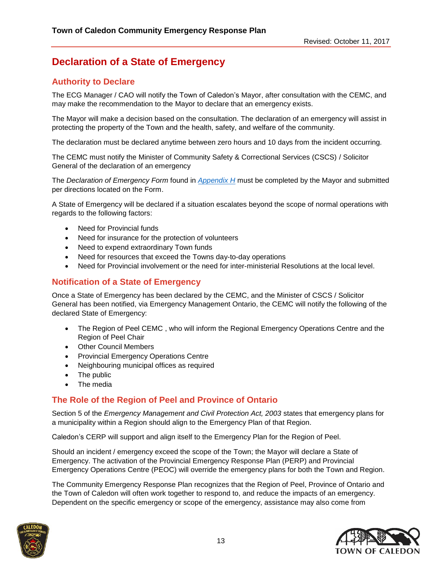#### <span id="page-12-0"></span>**Declaration of a State of Emergency**

#### <span id="page-12-1"></span>**Authority to Declare**

The ECG Manager / CAO will notify the Town of Caledon's Mayor, after consultation with the CEMC, and may make the recommendation to the Mayor to declare that an emergency exists.

The Mayor will make a decision based on the consultation. The declaration of an emergency will assist in protecting the property of the Town and the health, safety, and welfare of the community.

The declaration must be declared anytime between zero hours and 10 days from the incident occurring.

The CEMC must notify the Minister of Community Safety & Correctional Services (CSCS) / Solicitor General of the declaration of an emergency

The *Declaration of Emergency Form* found in *Appendix H* must be completed by the Mayor and submitted per directions located on the Form.

A State of Emergency will be declared if a situation escalates beyond the scope of normal operations with regards to the following factors:

- **Need for Provincial funds**
- · Need for insurance for the protection of volunteers
- · Need to expend extraordinary Town funds
- · Need for resources that exceed the Towns day-to-day operations
- · Need for Provincial involvement or the need for inter-ministerial Resolutions at the local level.

#### <span id="page-12-2"></span>**Notification of a State of Emergency**

Once a State of Emergency has been declared by the CEMC, and the Minister of CSCS / Solicitor General has been notified, via Emergency Management Ontario, the CEMC will notify the following of the declared State of Emergency:

- · The Region of Peel CEMC , who will inform the Regional Emergency Operations Centre and the Region of Peel Chair
- · Other Council Members
- · Provincial Emergency Operations Centre
- · Neighbouring municipal offices as required
- The public
- · The media

#### <span id="page-12-3"></span>**The Role of the Region of Peel and Province of Ontario**

Section 5 of the *Emergency Management and Civil Protection Act, 2003* states that emergency plans for a municipality within a Region should align to the Emergency Plan of that Region.

Caledon's CERP will support and align itself to the Emergency Plan for the Region of Peel.

Should an incident / emergency exceed the scope of the Town; the Mayor will declare a State of Emergency. The activation of the Provincial Emergency Response Plan (PERP) and Provincial Emergency Operations Centre (PEOC) will override the emergency plans for both the Town and Region.

The Community Emergency Response Plan recognizes that the Region of Peel, Province of Ontario and the Town of Caledon will often work together to respond to, and reduce the impacts of an emergency. Dependent on the specific emergency or scope of the emergency, assistance may also come from



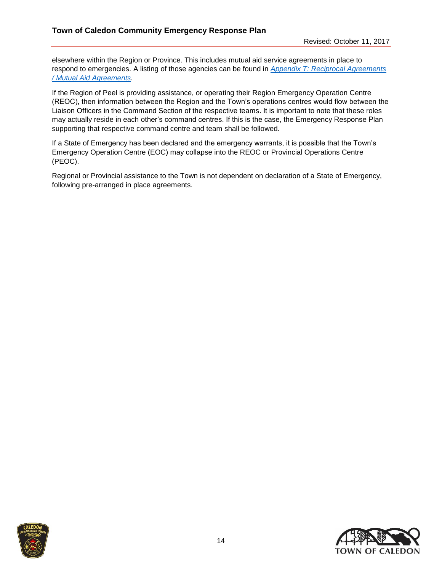elsewhere within the Region or Province. This includes mutual aid service agreements in place to respond to emergencies. A listing of those agencies can be found in *Appendix T: Reciprocal Agreements / Mutual Aid Agreements.*

If the Region of Peel is providing assistance, or operating their Region Emergency Operation Centre (REOC), then information between the Region and the Town's operations centres would flow between the Liaison Officers in the Command Section of the respective teams. It is important to note that these roles may actually reside in each other's command centres. If this is the case, the Emergency Response Plan supporting that respective command centre and team shall be followed.

If a State of Emergency has been declared and the emergency warrants, it is possible that the Town's Emergency Operation Centre (EOC) may collapse into the REOC or Provincial Operations Centre (PEOC).

Regional or Provincial assistance to the Town is not dependent on declaration of a State of Emergency, following pre-arranged in place agreements.



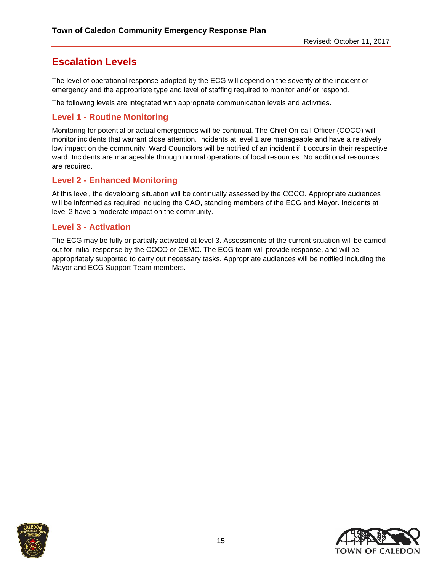#### <span id="page-14-0"></span>**Escalation Levels**

The level of operational response adopted by the ECG will depend on the severity of the incident or emergency and the appropriate type and level of staffing required to monitor and/ or respond.

The following levels are integrated with appropriate communication levels and activities.

#### <span id="page-14-1"></span>**Level 1 - Routine Monitoring**

Monitoring for potential or actual emergencies will be continual. The Chief On-call Officer (COCO) will monitor incidents that warrant close attention. Incidents at level 1 are manageable and have a relatively low impact on the community. Ward Councilors will be notified of an incident if it occurs in their respective ward. Incidents are manageable through normal operations of local resources. No additional resources are required.

#### <span id="page-14-2"></span>**Level 2 - Enhanced Monitoring**

At this level, the developing situation will be continually assessed by the COCO. Appropriate audiences will be informed as required including the CAO, standing members of the ECG and Mayor. Incidents at level 2 have a moderate impact on the community.

#### <span id="page-14-3"></span>**Level 3 - Activation**

The ECG may be fully or partially activated at level 3. Assessments of the current situation will be carried out for initial response by the COCO or CEMC. The ECG team will provide response, and will be appropriately supported to carry out necessary tasks. Appropriate audiences will be notified including the Mayor and ECG Support Team members.



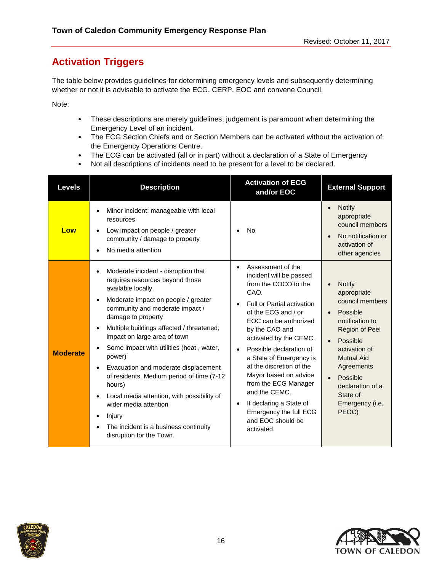### <span id="page-15-0"></span>**Activation Triggers**

The table below provides guidelines for determining emergency levels and subsequently determining whether or not it is advisable to activate the ECG, CERP, EOC and convene Council.

Note:

- These descriptions are merely guidelines; judgement is paramount when determining the Emergency Level of an incident.
- The ECG Section Chiefs and or Section Members can be activated without the activation of the Emergency Operations Centre.
- The ECG can be activated (all or in part) without a declaration of a State of Emergency
- Not all descriptions of incidents need to be present for a level to be declared.

| <b>Levels</b>   | <b>Description</b>                                                                                                                                                                                                                                                                                                                                                                                                                                                                                                                                                                                                                             | <b>Activation of ECG</b><br>and/or EOC                                                                                                                                                                                                                                                                                                                                                                                                                                       | <b>External Support</b>                                                                                                                                                                                                                  |
|-----------------|------------------------------------------------------------------------------------------------------------------------------------------------------------------------------------------------------------------------------------------------------------------------------------------------------------------------------------------------------------------------------------------------------------------------------------------------------------------------------------------------------------------------------------------------------------------------------------------------------------------------------------------------|------------------------------------------------------------------------------------------------------------------------------------------------------------------------------------------------------------------------------------------------------------------------------------------------------------------------------------------------------------------------------------------------------------------------------------------------------------------------------|------------------------------------------------------------------------------------------------------------------------------------------------------------------------------------------------------------------------------------------|
| Low             | Minor incident; manageable with local<br>resources<br>Low impact on people / greater<br>$\bullet$<br>community / damage to property<br>No media attention                                                                                                                                                                                                                                                                                                                                                                                                                                                                                      | <b>No</b>                                                                                                                                                                                                                                                                                                                                                                                                                                                                    | <b>Notify</b><br>$\bullet$<br>appropriate<br>council members<br>No notification or<br>activation of<br>other agencies                                                                                                                    |
| <b>Moderate</b> | Moderate incident - disruption that<br>requires resources beyond those<br>available locally.<br>Moderate impact on people / greater<br>$\bullet$<br>community and moderate impact /<br>damage to property<br>Multiple buildings affected / threatened;<br>impact on large area of town<br>Some impact with utilities (heat, water,<br>$\bullet$<br>power)<br>Evacuation and moderate displacement<br>$\bullet$<br>of residents. Medium period of time (7-12)<br>hours)<br>Local media attention, with possibility of<br>$\bullet$<br>wider media attention<br>Injury<br>٠<br>The incident is a business continuity<br>disruption for the Town. | Assessment of the<br>$\bullet$<br>incident will be passed<br>from the COCO to the<br>CAO.<br>Full or Partial activation<br>of the ECG and / or<br>EOC can be authorized<br>by the CAO and<br>activated by the CEMC.<br>Possible declaration of<br>a State of Emergency is<br>at the discretion of the<br>Mayor based on advice<br>from the ECG Manager<br>and the CEMC.<br>If declaring a State of<br>$\bullet$<br>Emergency the full ECG<br>and EOC should be<br>activated. | <b>Notify</b><br>appropriate<br>council members<br>Possible<br>notification to<br>Region of Peel<br>Possible<br>activation of<br><b>Mutual Aid</b><br>Agreements<br>Possible<br>declaration of a<br>State of<br>Emergency (i.e.<br>PEOC) |



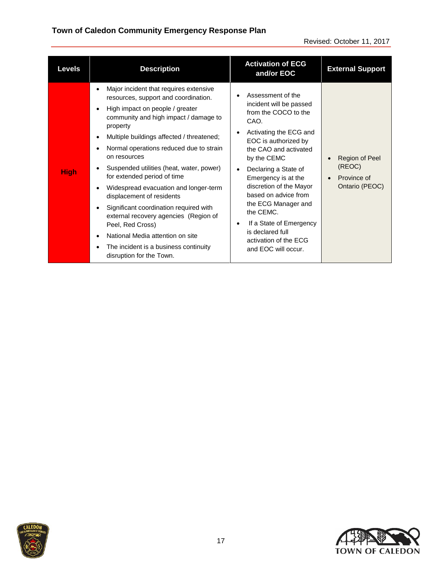| <b>Levels</b> | <b>Description</b>                                                                                                                                                                                                                                                                                                                                                                                                                                                                                                                                                                                                                                                                                                                      | <b>Activation of ECG</b><br>and/or EOC                                                                                                                                                                                                                                                                                                                                                                           | <b>External Support</b>                                   |
|---------------|-----------------------------------------------------------------------------------------------------------------------------------------------------------------------------------------------------------------------------------------------------------------------------------------------------------------------------------------------------------------------------------------------------------------------------------------------------------------------------------------------------------------------------------------------------------------------------------------------------------------------------------------------------------------------------------------------------------------------------------------|------------------------------------------------------------------------------------------------------------------------------------------------------------------------------------------------------------------------------------------------------------------------------------------------------------------------------------------------------------------------------------------------------------------|-----------------------------------------------------------|
| <b>High</b>   | Major incident that requires extensive<br>$\bullet$<br>resources, support and coordination.<br>High impact on people / greater<br>$\bullet$<br>community and high impact / damage to<br>property<br>Multiple buildings affected / threatened;<br>٠<br>Normal operations reduced due to strain<br>on resources<br>Suspended utilities (heat, water, power)<br>$\bullet$<br>for extended period of time<br>Widespread evacuation and longer-term<br>$\bullet$<br>displacement of residents<br>Significant coordination required with<br>$\bullet$<br>external recovery agencies (Region of<br>Peel, Red Cross)<br>National Media attention on site<br>$\bullet$<br>The incident is a business continuity<br>٠<br>disruption for the Town. | Assessment of the<br>incident will be passed<br>from the COCO to the<br>CAO.<br>Activating the ECG and<br>EOC is authorized by<br>the CAO and activated<br>by the CEMC<br>Declaring a State of<br>Emergency is at the<br>discretion of the Mayor<br>based on advice from<br>the ECG Manager and<br>the CEMC.<br>If a State of Emergency<br>٠<br>is declared full<br>activation of the ECG<br>and EOC will occur. | Region of Peel<br>(REOC)<br>Province of<br>Ontario (PEOC) |



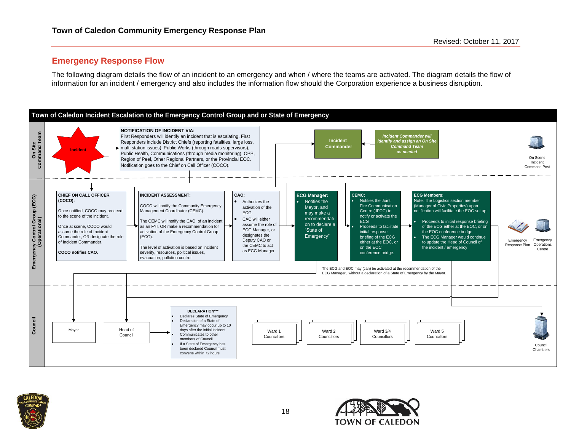#### **Emergency Response Flow**

The following diagram details the flow of an incident to an emergency and when / where the teams are activated. The diagram details the flow of information for an incident / emergency and also includes the information flow should the Corporation experience a business disruption.

<span id="page-17-0"></span>





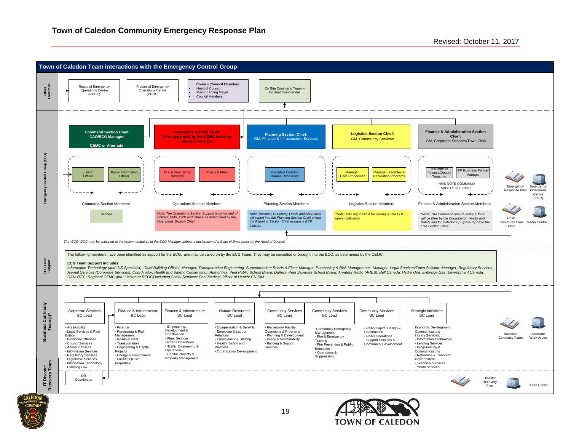<span id="page-18-0"></span>



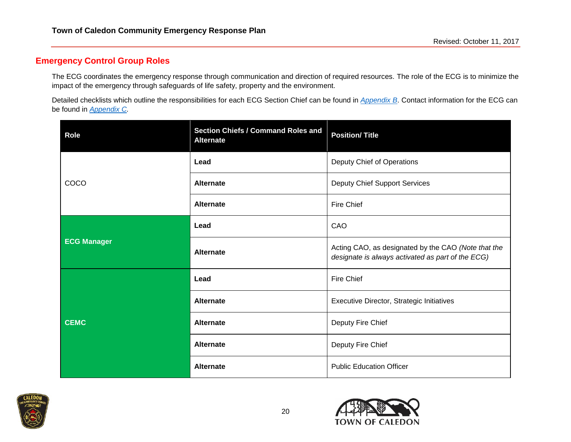#### **Emergency Control Group Roles**

The ECG coordinates the emergency response through communication and direction of required resources. The role of the ECG is to minimize the impact of the emergency through safeguards of life safety, property and the environment.

Detailed checklists which outline the responsibilities for each ECG Section Chief can be found in *Appendix B*. Contact information for the ECG can be found in *Appendix C.*

| <b>Role</b>        | <b>Section Chiefs / Command Roles and</b><br><b>Alternate</b> | <b>Position/Title</b>                                                                                    |
|--------------------|---------------------------------------------------------------|----------------------------------------------------------------------------------------------------------|
|                    | Lead                                                          | Deputy Chief of Operations                                                                               |
| COCO               | <b>Alternate</b>                                              | <b>Deputy Chief Support Services</b>                                                                     |
|                    | <b>Alternate</b>                                              | <b>Fire Chief</b>                                                                                        |
| <b>ECG Manager</b> | Lead                                                          | CAO                                                                                                      |
|                    | <b>Alternate</b>                                              | Acting CAO, as designated by the CAO (Note that the<br>designate is always activated as part of the ECG) |
|                    | Lead                                                          | Fire Chief                                                                                               |
|                    | <b>Alternate</b>                                              | Executive Director, Strategic Initiatives                                                                |
| CEMC               | <b>Alternate</b>                                              | Deputy Fire Chief                                                                                        |
|                    | <b>Alternate</b>                                              | Deputy Fire Chief                                                                                        |
|                    | <b>Alternate</b>                                              | <b>Public Education Officer</b>                                                                          |



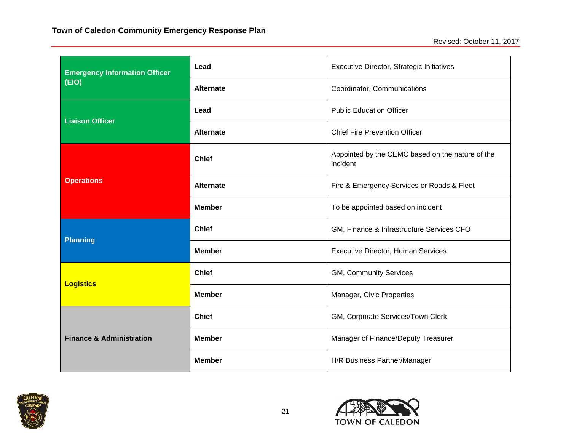| <b>Emergency Information Officer</b> | Lead             | Executive Director, Strategic Initiatives                    |
|--------------------------------------|------------------|--------------------------------------------------------------|
| (EIO)                                | <b>Alternate</b> | Coordinator, Communications                                  |
| <b>Liaison Officer</b>               | Lead             | <b>Public Education Officer</b>                              |
|                                      | <b>Alternate</b> | <b>Chief Fire Prevention Officer</b>                         |
|                                      | <b>Chief</b>     | Appointed by the CEMC based on the nature of the<br>incident |
| <b>Operations</b>                    | <b>Alternate</b> | Fire & Emergency Services or Roads & Fleet                   |
|                                      | <b>Member</b>    | To be appointed based on incident                            |
|                                      | <b>Chief</b>     | GM, Finance & Infrastructure Services CFO                    |
| <b>Planning</b>                      | <b>Member</b>    | <b>Executive Director, Human Services</b>                    |
|                                      | <b>Chief</b>     | GM, Community Services                                       |
| <b>Logistics</b>                     | <b>Member</b>    | Manager, Civic Properties                                    |
|                                      | <b>Chief</b>     | GM, Corporate Services/Town Clerk                            |
| <b>Finance &amp; Administration</b>  | <b>Member</b>    | Manager of Finance/Deputy Treasurer                          |
|                                      | <b>Member</b>    | H/R Business Partner/Manager                                 |



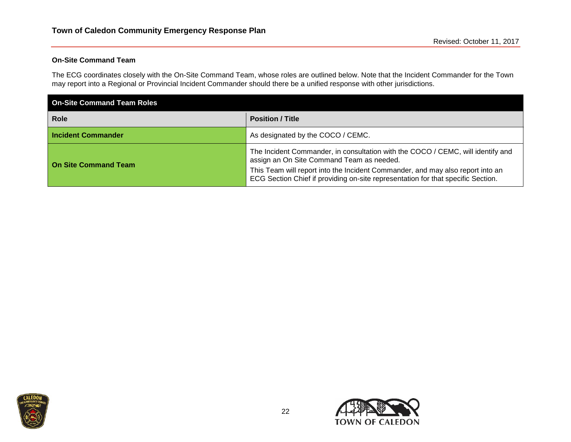#### **On-Site Command Team**

The ECG coordinates closely with the On-Site Command Team, whose roles are outlined below. Note that the Incident Commander for the Town may report into a Regional or Provincial Incident Commander should there be a unified response with other jurisdictions.

| <b>On-Site Command Team Roles</b> |                                                                                                                                                                                                                                                                                                    |  |
|-----------------------------------|----------------------------------------------------------------------------------------------------------------------------------------------------------------------------------------------------------------------------------------------------------------------------------------------------|--|
| <b>Role</b>                       | <b>Position / Title</b>                                                                                                                                                                                                                                                                            |  |
| Incident Commander                | As designated by the COCO / CEMC.                                                                                                                                                                                                                                                                  |  |
| <b>On Site Command Team</b>       | The Incident Commander, in consultation with the COCO / CEMC, will identify and<br>assign an On Site Command Team as needed.<br>This Team will report into the Incident Commander, and may also report into an<br>ECG Section Chief if providing on-site representation for that specific Section. |  |



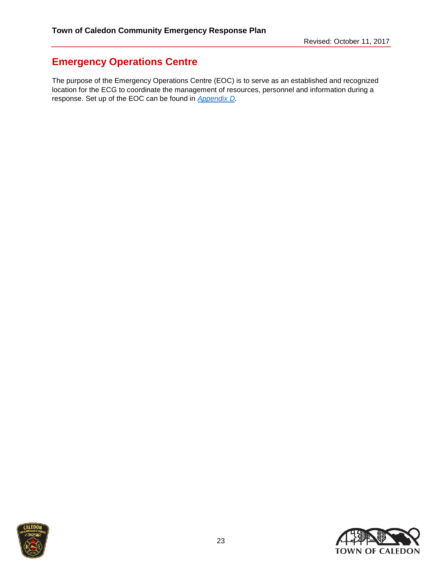#### <span id="page-22-0"></span>**Emergency Operations Centre**

The purpose of the Emergency Operations Centre (EOC) is to serve as an established and recognized location for the ECG to coordinate the management of resources, personnel and information during a response. Set up of the EOC can be found in *Appendix D.* 



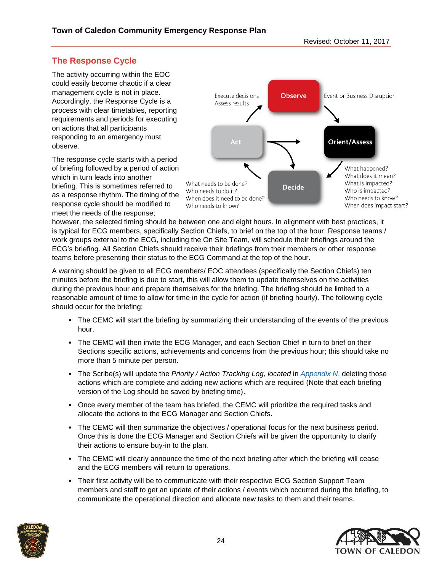#### <span id="page-23-0"></span>**The Response Cycle**

The activity occurring within the EOC could easily become chaotic if a clear management cycle is not in place. Accordingly, the Response Cycle is a process with clear timetables, reporting requirements and periods for executing on actions that all participants responding to an emergency must observe.

The response cycle starts with a period of briefing followed by a period of action which in turn leads into another briefing. This is sometimes referred to as a response rhythm. The timing of the response cycle should be modified to meet the needs of the response;



however, the selected timing should be between one and eight hours. In alignment with best practices, it is typical for ECG members, specifically Section Chiefs, to brief on the top of the hour. Response teams / work groups external to the ECG, including the On Site Team, will schedule their briefings around the ECG's briefing. All Section Chiefs should receive their briefings from their members or other response teams before presenting their status to the ECG Command at the top of the hour.

A warning should be given to all ECG members/ EOC attendees (specifically the Section Chiefs) ten minutes before the briefing is due to start, this will allow them to update themselves on the activities during the previous hour and prepare themselves for the briefing. The briefing should be limited to a reasonable amount of time to allow for time in the cycle for action (if briefing hourly). The following cycle should occur for the briefing:

- The CEMC will start the briefing by summarizing their understanding of the events of the previous hour.
- The CEMC will then invite the ECG Manager, and each Section Chief in turn to brief on their Sections specific actions, achievements and concerns from the previous hour; this should take no more than 5 minute per person.
- The Scribe(s) will update the *Priority / Action Tracking Log, located* in *Appendix N*, deleting those actions which are complete and adding new actions which are required (Note that each briefing version of the Log should be saved by briefing time).
- Once every member of the team has briefed, the CEMC will prioritize the required tasks and allocate the actions to the ECG Manager and Section Chiefs.
- The CEMC will then summarize the objectives / operational focus for the next business period. Once this is done the ECG Manager and Section Chiefs will be given the opportunity to clarify their actions to ensure buy-in to the plan.
- The CEMC will clearly announce the time of the next briefing after which the briefing will cease and the ECG members will return to operations.
- Their first activity will be to communicate with their respective ECG Section Support Team members and staff to get an update of their actions / events which occurred during the briefing, to communicate the operational direction and allocate new tasks to them and their teams.



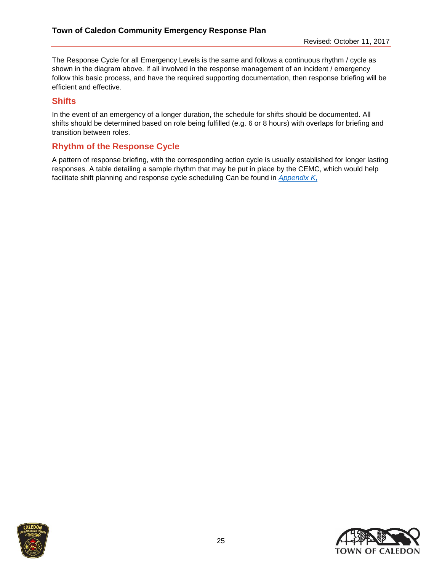The Response Cycle for all Emergency Levels is the same and follows a continuous rhythm / cycle as shown in the diagram above. If all involved in the response management of an incident / emergency follow this basic process, and have the required supporting documentation, then response briefing will be efficient and effective.

#### <span id="page-24-0"></span>**Shifts**

In the event of an emergency of a longer duration, the schedule for shifts should be documented. All shifts should be determined based on role being fulfilled (e.g. 6 or 8 hours) with overlaps for briefing and transition between roles.

#### <span id="page-24-1"></span>**Rhythm of the Response Cycle**

A pattern of response briefing, with the corresponding action cycle is usually established for longer lasting responses. A table detailing a sample rhythm that may be put in place by the CEMC, which would help facilitate shift planning and response cycle scheduling Can be found in *Appendix K*,



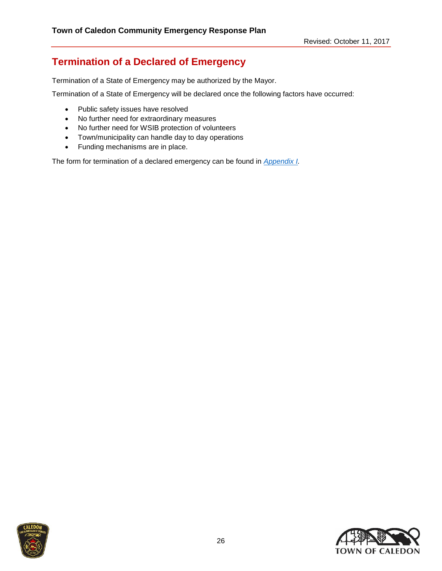#### <span id="page-25-0"></span>**Termination of a Declared of Emergency**

Termination of a State of Emergency may be authorized by the Mayor.

Termination of a State of Emergency will be declared once the following factors have occurred:

- · Public safety issues have resolved
- · No further need for extraordinary measures
- · No further need for WSIB protection of volunteers
- · Town/municipality can handle day to day operations
- · Funding mechanisms are in place.

The form for termination of a declared emergency can be found in *Appendix I.*



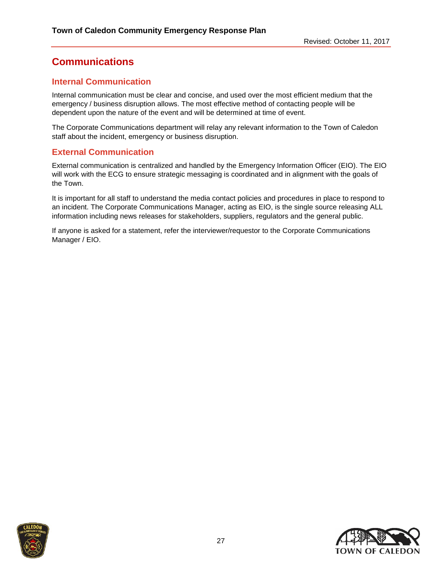#### <span id="page-26-0"></span>**Communications**

#### <span id="page-26-1"></span>**Internal Communication**

Internal communication must be clear and concise, and used over the most efficient medium that the emergency / business disruption allows. The most effective method of contacting people will be dependent upon the nature of the event and will be determined at time of event.

The Corporate Communications department will relay any relevant information to the Town of Caledon staff about the incident, emergency or business disruption.

#### <span id="page-26-2"></span>**External Communication**

External communication is centralized and handled by the Emergency Information Officer (EIO). The EIO will work with the ECG to ensure strategic messaging is coordinated and in alignment with the goals of the Town.

It is important for all staff to understand the media contact policies and procedures in place to respond to an incident. The Corporate Communications Manager, acting as EIO, is the single source releasing ALL information including news releases for stakeholders, suppliers, regulators and the general public.

If anyone is asked for a statement, refer the interviewer/requestor to the Corporate Communications Manager / EIO.